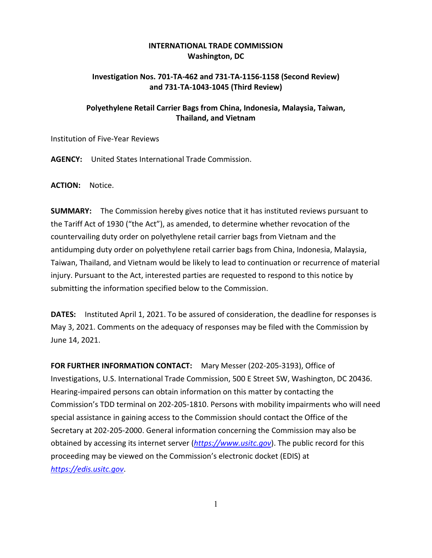## **INTERNATIONAL TRADE COMMISSION Washington, DC**

## **Investigation Nos. 701-TA-462 and 731-TA-1156-1158 (Second Review) and 731-TA-1043-1045 (Third Review)**

## **Polyethylene Retail Carrier Bags from China, Indonesia, Malaysia, Taiwan, Thailand, and Vietnam**

Institution of Five-Year Reviews

**AGENCY:** United States International Trade Commission.

**ACTION:** Notice.

**SUMMARY:** The Commission hereby gives notice that it has instituted reviews pursuant to the Tariff Act of 1930 ("the Act"), as amended, to determine whether revocation of the countervailing duty order on polyethylene retail carrier bags from Vietnam and the antidumping duty order on polyethylene retail carrier bags from China, Indonesia, Malaysia, Taiwan, Thailand, and Vietnam would be likely to lead to continuation or recurrence of material injury. Pursuant to the Act, interested parties are requested to respond to this notice by submitting the information specified below to the Commission.

**DATES:** Instituted April 1, 2021. To be assured of consideration, the deadline for responses is May 3, 2021. Comments on the adequacy of responses may be filed with the Commission by June 14, 2021.

**FOR FURTHER INFORMATION CONTACT:** Mary Messer (202-205-3193), Office of Investigations, U.S. International Trade Commission, 500 E Street SW, Washington, DC 20436. Hearing-impaired persons can obtain information on this matter by contacting the Commission's TDD terminal on 202-205-1810. Persons with mobility impairments who will need special assistance in gaining access to the Commission should contact the Office of the Secretary at 202-205-2000. General information concerning the Commission may also be obtained by accessing its internet server (*[https://www.usitc.gov](https://www.usitc.gov/)*). The public record for this proceeding may be viewed on the Commission's electronic docket (EDIS) at *[https://edis.usitc.gov](https://edis.usitc.gov/)*.

1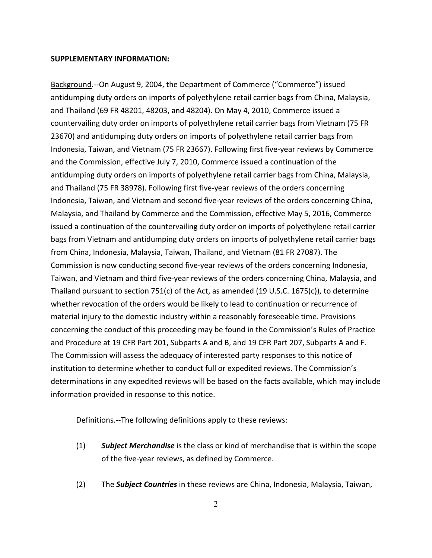## **SUPPLEMENTARY INFORMATION:**

Background.--On August 9, 2004, the Department of Commerce ("Commerce") issued antidumping duty orders on imports of polyethylene retail carrier bags from China, Malaysia, and Thailand (69 FR 48201, 48203, and 48204). On May 4, 2010, Commerce issued a countervailing duty order on imports of polyethylene retail carrier bags from Vietnam (75 FR 23670) and antidumping duty orders on imports of polyethylene retail carrier bags from Indonesia, Taiwan, and Vietnam (75 FR 23667). Following first five-year reviews by Commerce and the Commission, effective July 7, 2010, Commerce issued a continuation of the antidumping duty orders on imports of polyethylene retail carrier bags from China, Malaysia, and Thailand (75 FR 38978). Following first five-year reviews of the orders concerning Indonesia, Taiwan, and Vietnam and second five-year reviews of the orders concerning China, Malaysia, and Thailand by Commerce and the Commission, effective May 5, 2016, Commerce issued a continuation of the countervailing duty order on imports of polyethylene retail carrier bags from Vietnam and antidumping duty orders on imports of polyethylene retail carrier bags from China, Indonesia, Malaysia, Taiwan, Thailand, and Vietnam (81 FR 27087). The Commission is now conducting second five-year reviews of the orders concerning Indonesia, Taiwan, and Vietnam and third five-year reviews of the orders concerning China, Malaysia, and Thailand pursuant to section 751(c) of the Act, as amended (19 U.S.C. 1675(c)), to determine whether revocation of the orders would be likely to lead to continuation or recurrence of material injury to the domestic industry within a reasonably foreseeable time. Provisions concerning the conduct of this proceeding may be found in the Commission's Rules of Practice and Procedure at 19 CFR Part 201, Subparts A and B, and 19 CFR Part 207, Subparts A and F. The Commission will assess the adequacy of interested party responses to this notice of institution to determine whether to conduct full or expedited reviews. The Commission's determinations in any expedited reviews will be based on the facts available, which may include information provided in response to this notice.

Definitions.--The following definitions apply to these reviews:

- (1) *Subject Merchandise* is the class or kind of merchandise that is within the scope of the five-year reviews, as defined by Commerce.
- (2) The *Subject Countries* in these reviews are China, Indonesia, Malaysia, Taiwan,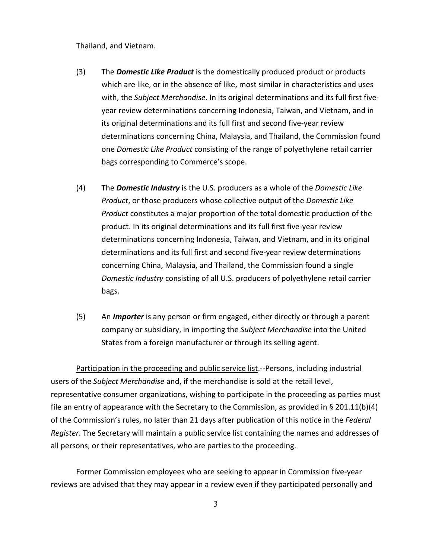Thailand, and Vietnam.

- (3) The *Domestic Like Product* is the domestically produced product or products which are like, or in the absence of like, most similar in characteristics and uses with, the *Subject Merchandise*. In its original determinations and its full first fiveyear review determinations concerning Indonesia, Taiwan, and Vietnam, and in its original determinations and its full first and second five-year review determinations concerning China, Malaysia, and Thailand, the Commission found one *Domestic Like Product* consisting of the range of polyethylene retail carrier bags corresponding to Commerce's scope.
- (4) The *Domestic Industry* is the U.S. producers as a whole of the *Domestic Like Product*, or those producers whose collective output of the *Domestic Like Product* constitutes a major proportion of the total domestic production of the product. In its original determinations and its full first five-year review determinations concerning Indonesia, Taiwan, and Vietnam, and in its original determinations and its full first and second five-year review determinations concerning China, Malaysia, and Thailand, the Commission found a single *Domestic Industry* consisting of all U.S. producers of polyethylene retail carrier bags.
- (5) An *Importer* is any person or firm engaged, either directly or through a parent company or subsidiary, in importing the *Subject Merchandise* into the United States from a foreign manufacturer or through its selling agent.

Participation in the proceeding and public service list.--Persons, including industrial users of the *Subject Merchandise* and, if the merchandise is sold at the retail level, representative consumer organizations, wishing to participate in the proceeding as parties must file an entry of appearance with the Secretary to the Commission, as provided in § 201.11(b)(4) of the Commission's rules, no later than 21 days after publication of this notice in the *Federal Register*. The Secretary will maintain a public service list containing the names and addresses of all persons, or their representatives, who are parties to the proceeding.

Former Commission employees who are seeking to appear in Commission five-year reviews are advised that they may appear in a review even if they participated personally and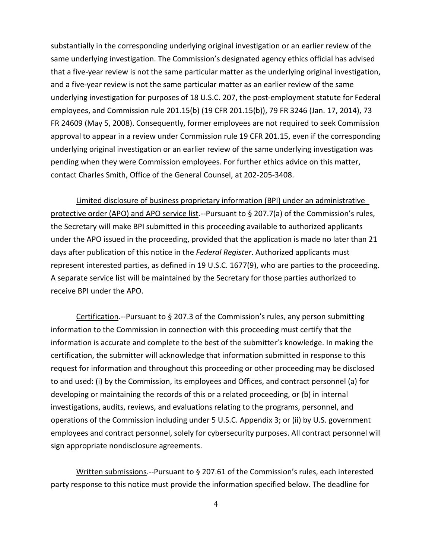substantially in the corresponding underlying original investigation or an earlier review of the same underlying investigation. The Commission's designated agency ethics official has advised that a five-year review is not the same particular matter as the underlying original investigation, and a five-year review is not the same particular matter as an earlier review of the same underlying investigation for purposes of 18 U.S.C. 207, the post-employment statute for Federal employees, and Commission rule 201.15(b) (19 CFR 201.15(b)), 79 FR 3246 (Jan. 17, 2014), 73 FR 24609 (May 5, 2008). Consequently, former employees are not required to seek Commission approval to appear in a review under Commission rule 19 CFR 201.15, even if the corresponding underlying original investigation or an earlier review of the same underlying investigation was pending when they were Commission employees. For further ethics advice on this matter, contact Charles Smith, Office of the General Counsel, at 202-205-3408.

Limited disclosure of business proprietary information (BPI) under an administrative protective order (APO) and APO service list.--Pursuant to § 207.7(a) of the Commission's rules, the Secretary will make BPI submitted in this proceeding available to authorized applicants under the APO issued in the proceeding, provided that the application is made no later than 21 days after publication of this notice in the *Federal Register*. Authorized applicants must represent interested parties, as defined in 19 U.S.C. 1677(9), who are parties to the proceeding. A separate service list will be maintained by the Secretary for those parties authorized to receive BPI under the APO.

Certification.--Pursuant to § 207.3 of the Commission's rules, any person submitting information to the Commission in connection with this proceeding must certify that the information is accurate and complete to the best of the submitter's knowledge. In making the certification, the submitter will acknowledge that information submitted in response to this request for information and throughout this proceeding or other proceeding may be disclosed to and used: (i) by the Commission, its employees and Offices, and contract personnel (a) for developing or maintaining the records of this or a related proceeding, or (b) in internal investigations, audits, reviews, and evaluations relating to the programs, personnel, and operations of the Commission including under 5 U.S.C. Appendix 3; or (ii) by U.S. government employees and contract personnel, solely for cybersecurity purposes. All contract personnel will sign appropriate nondisclosure agreements.

Written submissions.--Pursuant to § 207.61 of the Commission's rules, each interested party response to this notice must provide the information specified below. The deadline for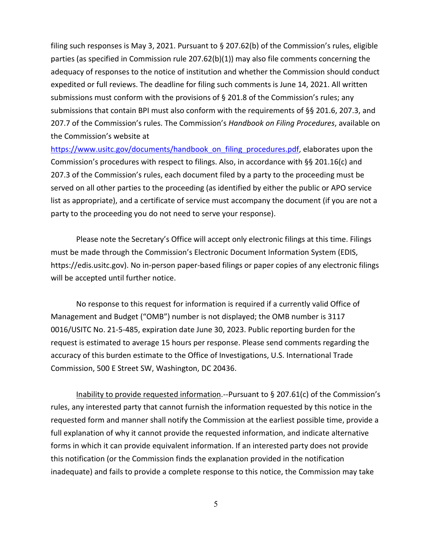filing such responses is May 3, 2021. Pursuant to § 207.62(b) of the Commission's rules, eligible parties (as specified in Commission rule 207.62(b)(1)) may also file comments concerning the adequacy of responses to the notice of institution and whether the Commission should conduct expedited or full reviews. The deadline for filing such comments is June 14, 2021. All written submissions must conform with the provisions of  $\S$  201.8 of the Commission's rules; any submissions that contain BPI must also conform with the requirements of §§ 201.6, 207.3, and 207.7 of the Commission's rules. The Commission's *Handbook on Filing Procedures*, available on the Commission's website at

[https://www.usitc.gov/documents/handbook\\_on\\_filing\\_procedures.pdf,](https://www.usitc.gov/documents/handbook_on_filing_procedures.pdf) elaborates upon the Commission's procedures with respect to filings. Also, in accordance with §§ 201.16(c) and 207.3 of the Commission's rules, each document filed by a party to the proceeding must be served on all other parties to the proceeding (as identified by either the public or APO service list as appropriate), and a certificate of service must accompany the document (if you are not a party to the proceeding you do not need to serve your response).

Please note the Secretary's Office will accept only electronic filings at this time. Filings must be made through the Commission's Electronic Document Information System (EDIS, https://edis.usitc.gov). No in-person paper-based filings or paper copies of any electronic filings will be accepted until further notice.

No response to this request for information is required if a currently valid Office of Management and Budget ("OMB") number is not displayed; the OMB number is 3117 0016/USITC No. 21-5-485, expiration date June 30, 2023. Public reporting burden for the request is estimated to average 15 hours per response. Please send comments regarding the accuracy of this burden estimate to the Office of Investigations, U.S. International Trade Commission, 500 E Street SW, Washington, DC 20436.

Inability to provide requested information.--Pursuant to § 207.61(c) of the Commission's rules, any interested party that cannot furnish the information requested by this notice in the requested form and manner shall notify the Commission at the earliest possible time, provide a full explanation of why it cannot provide the requested information, and indicate alternative forms in which it can provide equivalent information. If an interested party does not provide this notification (or the Commission finds the explanation provided in the notification inadequate) and fails to provide a complete response to this notice, the Commission may take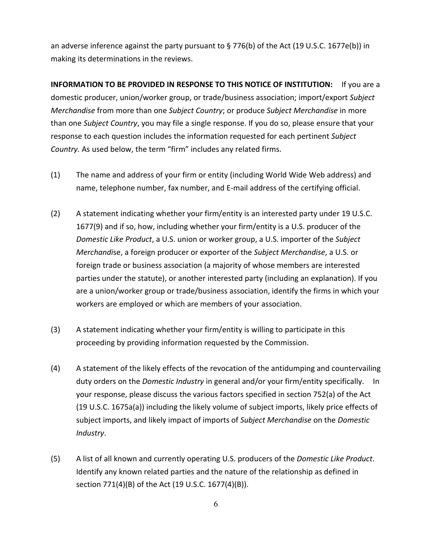an adverse inference against the party pursuant to § 776(b) of the Act (19 U.S.C. 1677e(b)) in making its determinations in the reviews.

**INFORMATION TO BE PROVIDED IN RESPONSE TO THIS NOTICE OF INSTITUTION:** If you are a domestic producer, union/worker group, or trade/business association; import/export *Subject Merchandise* from more than one *Subject Country*; or produce *Subject Merchandise* in more than one *Subject Country*, you may file a single response. If you do so, please ensure that your response to each question includes the information requested for each pertinent *Subject Country.* As used below, the term "firm" includes any related firms.

- (1) The name and address of your firm or entity (including World Wide Web address) and name, telephone number, fax number, and E-mail address of the certifying official.
- (2) A statement indicating whether your firm/entity is an interested party under 19 U.S.C. 1677(9) and if so, how, including whether your firm/entity is a U.S. producer of the *Domestic Like Product*, a U.S. union or worker group, a U.S. importer of the *Subject Merchandi*se, a foreign producer or exporter of the *Subject Merchandise*, a U.S. or foreign trade or business association (a majority of whose members are interested parties under the statute), or another interested party (including an explanation). If you are a union/worker group or trade/business association, identify the firms in which your workers are employed or which are members of your association.
- (3) A statement indicating whether your firm/entity is willing to participate in this proceeding by providing information requested by the Commission.
- (4) A statement of the likely effects of the revocation of the antidumping and countervailing duty orders on the *Domestic Industry* in general and/or your firm/entity specifically. In your response, please discuss the various factors specified in section 752(a) of the Act (19 U.S.C. 1675a(a)) including the likely volume of subject imports, likely price effects of subject imports, and likely impact of imports of *Subject Merchandise* on the *Domestic Industry*.
- (5) A list of all known and currently operating U.S. producers of the *Domestic Like Product*. Identify any known related parties and the nature of the relationship as defined in section 771(4)(B) of the Act (19 U.S.C. 1677(4)(B)).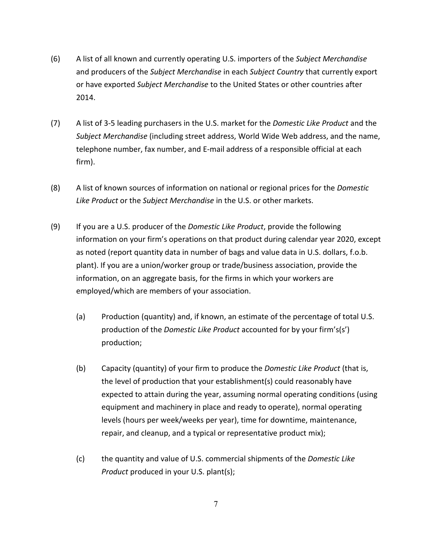- (6) A list of all known and currently operating U.S. importers of the *Subject Merchandise* and producers of the *Subject Merchandise* in each *Subject Country* that currently export or have exported *Subject Merchandise* to the United States or other countries after 2014.
- (7) A list of 3-5 leading purchasers in the U.S. market for the *Domestic Like Product* and the *Subject Merchandise* (including street address, World Wide Web address, and the name, telephone number, fax number, and E-mail address of a responsible official at each firm).
- (8) A list of known sources of information on national or regional prices for the *Domestic Like Product* or the *Subject Merchandise* in the U.S. or other markets.
- (9) If you are a U.S. producer of the *Domestic Like Product*, provide the following information on your firm's operations on that product during calendar year 2020, except as noted (report quantity data in number of bags and value data in U.S. dollars, f.o.b. plant). If you are a union/worker group or trade/business association, provide the information, on an aggregate basis, for the firms in which your workers are employed/which are members of your association.
	- (a) Production (quantity) and, if known, an estimate of the percentage of total U.S. production of the *Domestic Like Product* accounted for by your firm's(s') production;
	- (b) Capacity (quantity) of your firm to produce the *Domestic Like Product* (that is, the level of production that your establishment(s) could reasonably have expected to attain during the year, assuming normal operating conditions (using equipment and machinery in place and ready to operate), normal operating levels (hours per week/weeks per year), time for downtime, maintenance, repair, and cleanup, and a typical or representative product mix);
	- (c) the quantity and value of U.S. commercial shipments of the *Domestic Like Product* produced in your U.S. plant(s);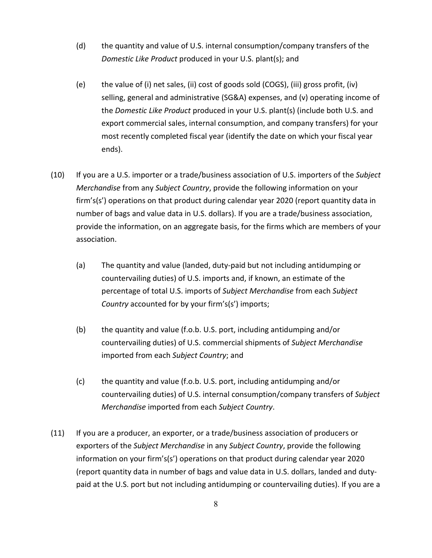- (d) the quantity and value of U.S. internal consumption/company transfers of the *Domestic Like Product* produced in your U.S. plant(s); and
- (e) the value of (i) net sales, (ii) cost of goods sold (COGS), (iii) gross profit, (iv) selling, general and administrative (SG&A) expenses, and (v) operating income of the *Domestic Like Product* produced in your U.S. plant(s) (include both U.S. and export commercial sales, internal consumption, and company transfers) for your most recently completed fiscal year (identify the date on which your fiscal year ends).
- (10) If you are a U.S. importer or a trade/business association of U.S. importers of the *Subject Merchandise* from any *Subject Country*, provide the following information on your firm's(s') operations on that product during calendar year 2020 (report quantity data in number of bags and value data in U.S. dollars). If you are a trade/business association, provide the information, on an aggregate basis, for the firms which are members of your association.
	- (a) The quantity and value (landed, duty-paid but not including antidumping or countervailing duties) of U.S. imports and, if known, an estimate of the percentage of total U.S. imports of *Subject Merchandise* from each *Subject Country* accounted for by your firm's(s') imports;
	- (b) the quantity and value (f.o.b. U.S. port, including antidumping and/or countervailing duties) of U.S. commercial shipments of *Subject Merchandise* imported from each *Subject Country*; and
	- (c) the quantity and value (f.o.b. U.S. port, including antidumping and/or countervailing duties) of U.S. internal consumption/company transfers of *Subject Merchandise* imported from each *Subject Country*.
- (11) If you are a producer, an exporter, or a trade/business association of producers or exporters of the *Subject Merchandise* in any *Subject Country*, provide the following information on your firm's(s') operations on that product during calendar year 2020 (report quantity data in number of bags and value data in U.S. dollars, landed and dutypaid at the U.S. port but not including antidumping or countervailing duties). If you are a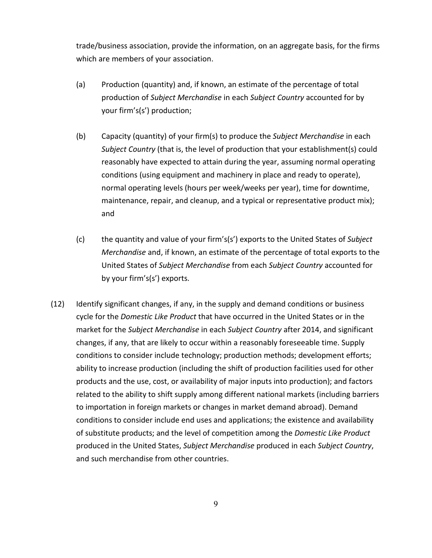trade/business association, provide the information, on an aggregate basis, for the firms which are members of your association.

- (a) Production (quantity) and, if known, an estimate of the percentage of total production of *Subject Merchandise* in each *Subject Country* accounted for by your firm's(s') production;
- (b) Capacity (quantity) of your firm(s) to produce the *Subject Merchandise* in each *Subject Country* (that is, the level of production that your establishment(s) could reasonably have expected to attain during the year, assuming normal operating conditions (using equipment and machinery in place and ready to operate), normal operating levels (hours per week/weeks per year), time for downtime, maintenance, repair, and cleanup, and a typical or representative product mix); and
- (c) the quantity and value of your firm's(s') exports to the United States of *Subject Merchandise* and, if known, an estimate of the percentage of total exports to the United States of *Subject Merchandise* from each *Subject Country* accounted for by your firm's(s') exports.
- (12) Identify significant changes, if any, in the supply and demand conditions or business cycle for the *Domestic Like Product* that have occurred in the United States or in the market for the *Subject Merchandise* in each *Subject Country* after 2014, and significant changes, if any, that are likely to occur within a reasonably foreseeable time. Supply conditions to consider include technology; production methods; development efforts; ability to increase production (including the shift of production facilities used for other products and the use, cost, or availability of major inputs into production); and factors related to the ability to shift supply among different national markets (including barriers to importation in foreign markets or changes in market demand abroad). Demand conditions to consider include end uses and applications; the existence and availability of substitute products; and the level of competition among the *Domestic Like Product* produced in the United States, *Subject Merchandise* produced in each *Subject Country*, and such merchandise from other countries.